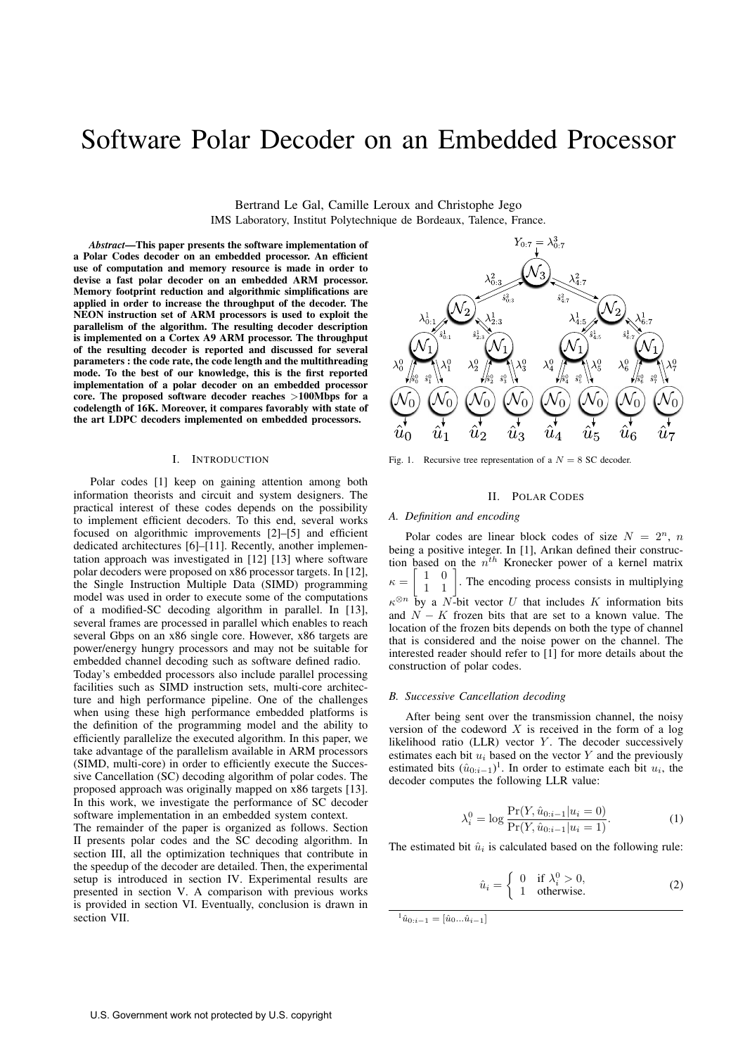# Software Polar Decoder on an Embedded Processor

Bertrand Le Gal, Camille Leroux and Christophe Jego IMS Laboratory, Institut Polytechnique de Bordeaux, Talence, France.

*Abstract*—This paper presents the software implementation of a Polar Codes decoder on an embedded processor. An efficient use of computation and memory resource is made in order to devise a fast polar decoder on an embedded ARM processor. Memory footprint reduction and algorithmic simplifications are applied in order to increase the throughput of the decoder. The NEON instruction set of ARM processors is used to exploit the parallelism of the algorithm. The resulting decoder description is implemented on a Cortex A9 ARM processor. The throughput of the resulting decoder is reported and discussed for several parameters : the code rate, the code length and the multithreading mode. To the best of our knowledge, this is the first reported implementation of a polar decoder on an embedded processor core. The proposed software decoder reaches >100Mbps for a codelength of 16K. Moreover, it compares favorably with state of the art LDPC decoders implemented on embedded processors.

## I. INTRODUCTION

Polar codes [1] keep on gaining attention among both information theorists and circuit and system designers. The practical interest of these codes depends on the possibility to implement efficient decoders. To this end, several works focused on algorithmic improvements [2]–[5] and efficient dedicated architectures [6]–[11]. Recently, another implementation approach was investigated in [12] [13] where software polar decoders were proposed on x86 processor targets. In [12], the Single Instruction Multiple Data (SIMD) programming model was used in order to execute some of the computations of a modified-SC decoding algorithm in parallel. In [13], several frames are processed in parallel which enables to reach several Gbps on an x86 single core. However, x86 targets are power/energy hungry processors and may not be suitable for embedded channel decoding such as software defined radio.

Today's embedded processors also include parallel processing facilities such as SIMD instruction sets, multi-core architecture and high performance pipeline. One of the challenges when using these high performance embedded platforms is the definition of the programming model and the ability to efficiently parallelize the executed algorithm. In this paper, we take advantage of the parallelism available in ARM processors (SIMD, multi-core) in order to efficiently execute the Successive Cancellation (SC) decoding algorithm of polar codes. The proposed approach was originally mapped on x86 targets [13]. In this work, we investigate the performance of SC decoder software implementation in an embedded system context.

The remainder of the paper is organized as follows. Section II presents polar codes and the SC decoding algorithm. In section III, all the optimization techniques that contribute in the speedup of the decoder are detailed. Then, the experimental setup is introduced in section IV. Experimental results are presented in section V. A comparison with previous works is provided in section VI. Eventually, conclusion is drawn in section VII.



Fig. 1. Recursive tree representation of a  $N = 8$  SC decoder.

#### II. POLAR CODES

## *A. Definition and encoding*

Polar codes are linear block codes of size  $N = 2<sup>n</sup>$ , *n* being a positive integer. In [1], Arıkan defined their construction based on the  $n^{th}$  Kronecker power of a kernel matrix<br>  $\kappa = \begin{bmatrix} 1 & 0 \\ 1 & 0 \end{bmatrix}$ . The encoding process consists in multiplying  $\kappa = \begin{bmatrix} 1 & 0 \\ 1 & 1 \end{bmatrix}$  $\lceil$  $1 \quad 1$ . The encoding process consists in multiplying  $\kappa^{\otimes n}$  by a N-bit vector U that includes K information bits and  $N-K$  frozen bits that are set to a known value. The and  $N - K$  frozen bits that are set to a known value. The location of the frozen bits depends on both the type of channel that is considered and the noise power on the channel. The interested reader should refer to [1] for more details about the construction of polar codes.

#### *B. Successive Cancellation decoding*

After being sent over the transmission channel, the noisy version of the codeword  $X$  is received in the form of a log likelihood ratio  $(LLR)$  vector Y. The decoder successively estimates each bit  $u_i$  based on the vector Y and the previously estimated bits  $(\hat{u}_{0:i-1})^1$ . In order to estimate each bit  $u_i$ , the decoder computes the following LLR value: decoder computes the following LLR value:

$$
\lambda_i^0 = \log \frac{\Pr(Y, \hat{u}_{0:i-1} | u_i = 0)}{\Pr(Y, \hat{u}_{0:i-1} | u_i = 1)}.
$$
\n(1)

The estimated bit  $\hat{u}_i$  is calculated based on the following rule:

$$
\hat{u}_i = \begin{cases} 0 & \text{if } \lambda_i^0 > 0, \\ 1 & \text{otherwise.} \end{cases}
$$
 (2)

 $\hat{u}_{0:i-1} = [\hat{u}_0...\hat{u}_{i-1}]$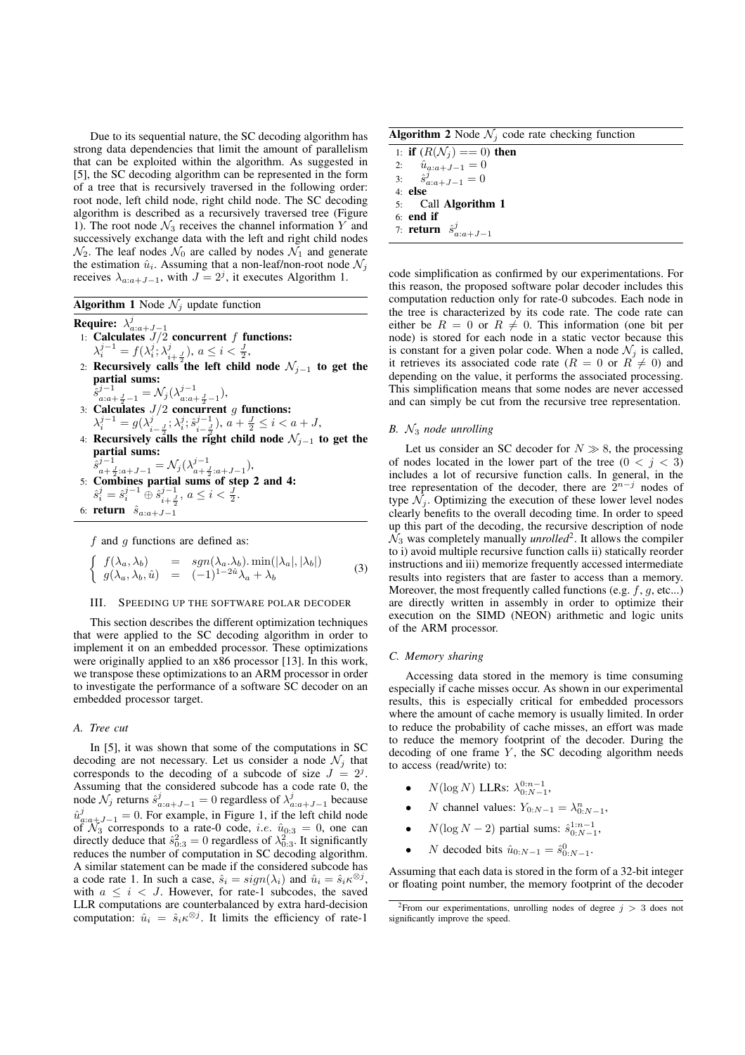Due to its sequential nature, the SC decoding algorithm has strong data dependencies that limit the amount of parallelism that can be exploited within the algorithm. As suggested in [5], the SC decoding algorithm can be represented in the form of a tree that is recursively traversed in the following order: root node, left child node, right child node. The SC decoding algorithm is described as a recursively traversed tree (Figure 1). The root node  $\mathcal{N}_3$  receives the channel information Y and successively exchange data with the left and right child nodes  $\mathcal{N}_2$ . The leaf nodes  $\mathcal{N}_0$  are called by nodes  $\mathcal{N}_1$  and generate the estimation  $\hat{u}_i$ . Assuming that a non-leaf/non-root node  $\mathcal{N}_j$ receives  $\lambda_{a:a+J-1}$ , with  $J = 2<sup>j</sup>$ , it executes Algorithm 1.

**Algorithm 1** Node  $\mathcal{N}_i$  update function

- Require:  $\lambda_{a:a+J-1}^j$ <br>1: Calculates  $J/2$  concurrent f functions:<br> $\lambda^{j-1} = f(\lambda^j, \lambda^j)$  as  $\lambda^j \leq \lambda^j$  $\lambda_i^{j-1} = f(\lambda_i^j; \lambda_{i+\frac{J}{2}}^j), a \le i < \frac{J}{2},$ <br>Pequatricly, colle<sup>2</sup>the left child
- 2: Recursively calls the left child node  $\mathcal{N}_{i-1}$  to get the partial sums:
- sˆ  $j^{-1}_{a:a+\frac{J}{2}-1} = \mathcal{N}_j(\lambda_{a:a+\frac{J}{2}-1}^{j-1}),$
- 3: Calculates  $J/2$  concurrent g functions:<br> $\lambda^{j-1} = g(\lambda^j \lambda^j \cdot \hat{\varepsilon}^{j-1})$   $g + \frac{J}{2} \leq i < j$  $\lambda_i^{j-1} = g(\lambda_{i-1}^j; \lambda_i^j; \hat{s}_{i-1}^{j-1}), a + \frac{1}{2} \le i < a + J,$ <br>Posumojugly galle the write objet and note  $\lambda_i$
- 4: Recursively calls the right child node  $\mathcal{N}_{j-1}$  to get the partial sums:
- sˆ  $\hat{s}_{a+\frac{J}{2}:a+J-1}^{j-1} = \mathcal{N}_j(\lambda_{a+\frac{J}{2}:a+J-1}^{j-1}),$ <br>5: **Combines partial sums of step 2 and 4:** sˆ  $j_i = \hat{s}_i^{j-1} \oplus \hat{s}_{i+\frac{j}{2}}^{j-1}, \ a \leq i < \frac{J}{2}.$ 6: return  $\hat{s}_{a:a+J-1}$

 $f$  and  $g$  functions are defined as:

$$
\begin{cases}\nf(\lambda_a, \lambda_b) = sgn(\lambda_a, \lambda_b) \cdot \min(|\lambda_a|, |\lambda_b|) \\
g(\lambda_a, \lambda_b, \hat{u}) = (-1)^{1-2\hat{u}} \lambda_a + \lambda_b\n\end{cases}
$$
\n(3)

## III. SPEEDING UP THE SOFTWARE POLAR DECODER

This section describes the different optimization techniques that were applied to the SC decoding algorithm in order to implement it on an embedded processor. These optimizations were originally applied to an x86 processor [13]. In this work, we transpose these optimizations to an ARM processor in order to investigate the performance of a software SC decoder on an embedded processor target.

## *A. Tree cut*

In [5], it was shown that some of the computations in SC decoding are not necessary. Let us consider a node  $\mathcal{N}_i$  that corresponds to the decoding of a subcode of size  $J = 2<sup>j</sup>$ . Assuming that the considered subcode has a code rate 0, the node  $\mathcal{N}_j$  returns  $\hat{s}_{a:a+J-1}^j = 0$  regardless of  $\lambda_{a:a+J-1}^j$  because  $\hat{u}_{a:a+J-1}^{j} = 0$ . For example, in Figure 1, if the left child node<br>of  $\mathcal{N}_2$  corresponds to a rate-0 code  $ie$   $\hat{u}_{0,2} = 0$  one can of  $\mathcal{N}_3$  corresponds to a rate-0 code, *i.e.*  $\hat{u}_{0:3} = 0$ , one can directly deduce that  $\hat{s}_{2:3}^2 = 0$  regardless of  $\lambda_{2:3}^2$ . It significantly directly deduce that  $\hat{s}_{0:3}^2 = 0$  regardless of  $\lambda_{0:3}^2$ . It significantly reduces the number of computation in SC decoding algorithm reduces the number of computation in SC decoding algorithm. A similar statement can be made if the considered subcode has a code rate 1. In such a case,  $\hat{s}_i = sign(\lambda_i)$  and  $\hat{u}_i = \hat{s}_i \kappa^{\otimes j}$ , with  $a \leq i \leq J$ . However, for rate-1 subcodes, the saved LLR computations are counterbalanced by extra hard-decision computation:  $\hat{u}_i = \hat{s}_i \kappa^{\otimes j}$ . It limits the efficiency of rate-1

**Algorithm 2** Node  $\mathcal{N}_i$  code rate checking function

| 1: <b>if</b> $(R(\mathcal{N}_i) == 0)$ then |
|---------------------------------------------|
| 2: $\hat{u}_{a:a+J-1} = 0$                  |
| 3: $\hat{s}_{a:a+J-1}^j = 0$                |
| 4: else                                     |
| 5: Call Algorithm 1                         |
| $6:$ end if                                 |
| 7: <b>return</b> $\hat{s}_{a:a+J-1}^j$      |
|                                             |

code simplification as confirmed by our experimentations. For this reason, the proposed software polar decoder includes this computation reduction only for rate-0 subcodes. Each node in the tree is characterized by its code rate. The code rate can either be  $R = 0$  or  $R \neq 0$ . This information (one bit per node) is stored for each node in a static vector because this is constant for a given polar code. When a node  $\mathcal{N}_i$  is called, it retrieves its associated code rate ( $R = 0$  or  $R \neq 0$ ) and depending on the value, it performs the associated processing. This simplification means that some nodes are never accessed and can simply be cut from the recursive tree representation.

## *B.* N<sup>3</sup> *node unrolling*

Let us consider an SC decoder for  $N \gg 8$ , the processing of nodes located in the lower part of the tree  $(0 \lt j \lt 3)$ includes a lot of recursive function calls. In general, in the tree representation of the decoder, there are  $2^{n-j}$  nodes of type  $\mathcal{N}_i$ . Optimizing the execution of these lower level nodes clearly benefits to the overall decoding time. In order to speed up this part of the decoding, the recursive description of node  $\mathcal{N}_3$  was completely manually *unrolled*<sup>2</sup>. It allows the compiler to i) avoid multiple recursive function calls ii) statically reorder instructions and iii) memorize frequently accessed intermediate results into registers that are faster to access than a memory. Moreover, the most frequently called functions (e.g.  $f, g$ , etc...) are directly written in assembly in order to optimize their execution on the SIMD (NEON) arithmetic and logic units of the ARM processor.

## *C. Memory sharing*

Accessing data stored in the memory is time consuming especially if cache misses occur. As shown in our experimental results, this is especially critical for embedded processors where the amount of cache memory is usually limited. In order to reduce the probability of cache misses, an effort was made to reduce the memory footprint of the decoder. During the decoding of one frame  $Y$ , the SC decoding algorithm needs to access (read/write) to:

- $N(\log N)$  LLRs:  $\lambda_{0:N-1}^{0:n-1}$ ,
- *N* channel values:  $Y_{0:N-1} = \lambda_{0:N-1}^n$ ,
- $N(\log N 2)$  partial sums:  $\hat{s}_{0:N-1}^{1:n-1}$ ,
- *N* decoded bits  $\hat{u}_{0:N-1} = \hat{s}_{0:N-1}^0$ .

Assuming that each data is stored in the form of a 32-bit integer or floating point number, the memory footprint of the decoder

<sup>&</sup>lt;sup>2</sup>From our experimentations, unrolling nodes of degree  $j > 3$  does not significantly improve the speed.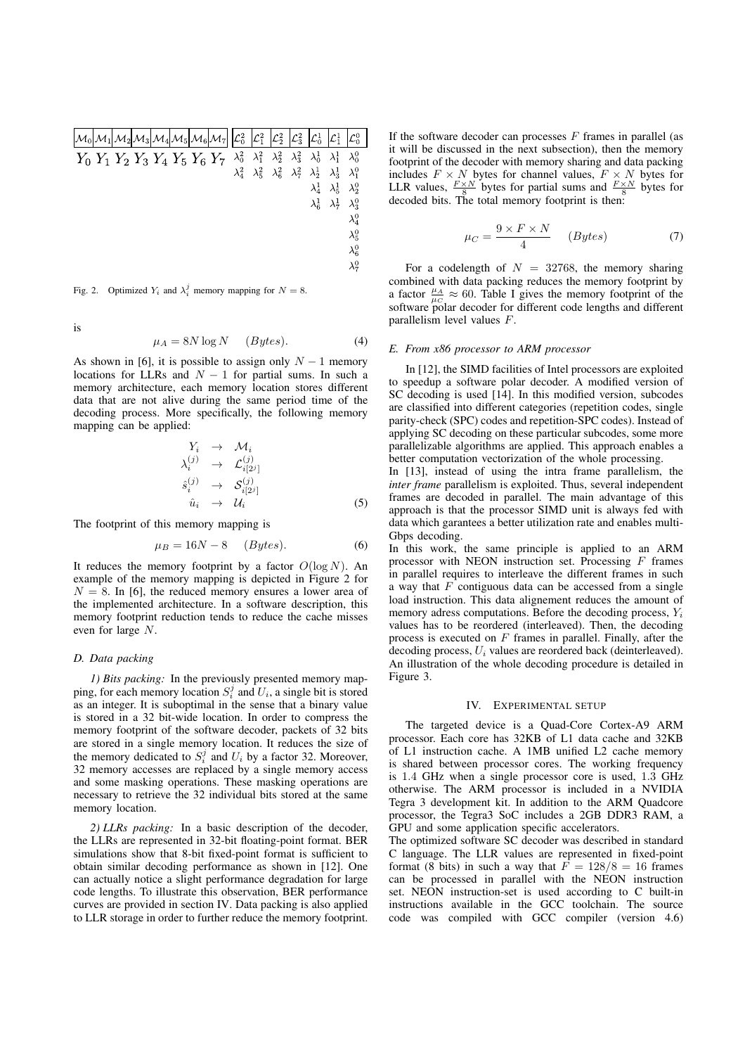| $\left \mathcal{M}_0\right \mathcal{M}_1\left \mathcal{M}_2\right \mathcal{M}_3\left \mathcal{M}_4\right \mathcal{M}_5\left \mathcal{M}_6\right \mathcal{M}_7\right \left \mathcal{L}_0^2\right $ |  |  |  |               | $\mathcal{L}_1^2$ | $\mathcal{L}^2_2$                         | $\mathcal{L}_3^2$ | $\mathcal{L}^1_0$ | $\mathcal{L}^1_1$           | $\mathcal{L}_0^0$ |
|---------------------------------------------------------------------------------------------------------------------------------------------------------------------------------------------------|--|--|--|---------------|-------------------|-------------------------------------------|-------------------|-------------------|-----------------------------|-------------------|
| $Y_0 Y_1 Y_2 Y_3 Y_4 Y_5 Y_6 Y_7$                                                                                                                                                                 |  |  |  | $\lambda_0^2$ | $\lambda_1^2$     | $\lambda_2^2$                             | $\lambda_3^2$     | $\lambda_0^1$     | $\lambda_1^1$ $\lambda_0^0$ |                   |
|                                                                                                                                                                                                   |  |  |  | $\lambda_4^2$ |                   | $\lambda_5^2$ $\lambda_6^2$ $\lambda_7^2$ |                   | $\lambda_2^1$     | $\lambda_3^1$               | $\lambda_1^0$     |
|                                                                                                                                                                                                   |  |  |  |               |                   |                                           |                   | $\lambda_4^1$     | $\lambda_5^1$               | $\lambda_2^0$     |
|                                                                                                                                                                                                   |  |  |  |               |                   |                                           |                   | $\lambda_6^1$     | $\lambda_7^1$               | $\lambda_3^0$     |
|                                                                                                                                                                                                   |  |  |  |               |                   |                                           |                   |                   |                             | $\lambda_4^0$     |
|                                                                                                                                                                                                   |  |  |  |               |                   |                                           |                   |                   |                             | $\lambda_5^0$     |
|                                                                                                                                                                                                   |  |  |  |               |                   |                                           |                   |                   |                             | $\lambda_6^0$     |
|                                                                                                                                                                                                   |  |  |  |               |                   |                                           |                   |                   |                             | $\lambda_7^0$     |
|                                                                                                                                                                                                   |  |  |  |               |                   |                                           |                   |                   |                             |                   |

Fig. 2. Optimized  $Y_i$  and  $\lambda_i^j$  memory mapping for  $N = 8$ .

is

$$
\mu_A = 8N \log N \qquad (Bytes). \tag{4}
$$

As shown in [6], it is possible to assign only  $N - 1$  memory locations for LLRs and  $N - 1$  for partial sums. In such a memory architecture, each memory location stores different data that are not alive during the same period time of the decoding process. More specifically, the following memory mapping can be applied:

$$
Y_i \rightarrow \mathcal{M}_i
$$
  
\n
$$
\lambda_i^{(j)} \rightarrow \mathcal{L}_{i[2^j]}^{(j)}
$$
  
\n
$$
\hat{s}_i^{(j)} \rightarrow \mathcal{S}_{i[2^j]}^{(j)}
$$
  
\n
$$
\hat{u}_i \rightarrow \mathcal{U}_i
$$
 (5)

The footprint of this memory mapping is

$$
\mu_B = 16N - 8 \qquad (Bytes). \tag{6}
$$

It reduces the memory footprint by a factor  $O(\log N)$ . An example of the memory mapping is depicted in Figure 2 for  $N = 8$ . In [6], the reduced memory ensures a lower area of the implemented architecture. In a software description, this memory footprint reduction tends to reduce the cache misses even for large N.

# *D. Data packing*

*1) Bits packing:* In the previously presented memory mapping, for each memory location  $S_i^j$  and  $U_i$ , a single bit is stored as an integer. It is subontimal in the sense that a binary value as an integer. It is suboptimal in the sense that a binary value is stored in a 32 bit-wide location. In order to compress the memory footprint of the software decoder, packets of 32 bits are stored in a single memory location. It reduces the size of the memory dedicated to  $S_i^j$  and  $U_i$  by a factor 32. Moreover, 32 memory accesses are replaced by a single memory access 32 memory accesses are replaced by a single memory access and some masking operations. These masking operations are necessary to retrieve the 32 individual bits stored at the same memory location.

*2) LLRs packing:* In a basic description of the decoder, the LLRs are represented in 32-bit floating-point format. BER simulations show that 8-bit fixed-point format is sufficient to obtain similar decoding performance as shown in [12]. One can actually notice a slight performance degradation for large code lengths. To illustrate this observation, BER performance curves are provided in section IV. Data packing is also applied to LLR storage in order to further reduce the memory footprint. If the software decoder can processes  $F$  frames in parallel (as it will be discussed in the next subsection), then the memory footprint of the decoder with memory sharing and data packing includes  $F \times N$  bytes for channel values,  $F \times N$  bytes for LLR values,  $\frac{F \times N}{S}$  bytes for partial sums and  $\frac{F \times N}{S}$  bytes for decoded bits. The total memory footprint is then:

$$
\mu_C = \frac{9 \times F \times N}{4} \qquad (Bytes)
$$
 (7)

For a codelength of  $N = 32768$ , the memory sharing combined with data packing reduces the memory footprint by a factor  $\frac{\mu_A}{\mu_C} \approx 60$ . Table I gives the memory footprint of the software polar decoder for different code lengths and different software polar decoder for different code lengths and different parallelism level values F.

## *E. From x86 processor to ARM processor*

In [12], the SIMD facilities of Intel processors are exploited to speedup a software polar decoder. A modified version of SC decoding is used [14]. In this modified version, subcodes are classified into different categories (repetition codes, single parity-check (SPC) codes and repetition-SPC codes). Instead of applying SC decoding on these particular subcodes, some more parallelizable algorithms are applied. This approach enables a better computation vectorization of the whole processing.

In [13], instead of using the intra frame parallelism, the *inter frame* parallelism is exploited. Thus, several independent frames are decoded in parallel. The main advantage of this approach is that the processor SIMD unit is always fed with data which garantees a better utilization rate and enables multi-Gbps decoding.

In this work, the same principle is applied to an ARM processor with NEON instruction set. Processing  $F$  frames in parallel requires to interleave the different frames in such a way that  $F$  contiguous data can be accessed from a single load instruction. This data alignement reduces the amount of memory adress computations. Before the decoding process,  $Y_i$ values has to be reordered (interleaved). Then, the decoding process is executed on  $F$  frames in parallel. Finally, after the decoding process,  $U_i$  values are reordered back (deinterleaved). An illustration of the whole decoding procedure is detailed in Figure 3.

#### IV. EXPERIMENTAL SETUP

The targeted device is a Quad-Core Cortex-A9 ARM processor. Each core has 32KB of L1 data cache and 32KB of L1 instruction cache. A 1MB unified L2 cache memory is shared between processor cores. The working frequency is 1.4 GHz when a single processor core is used, 1.3 GHz otherwise. The ARM processor is included in a NVIDIA Tegra 3 development kit. In addition to the ARM Quadcore processor, the Tegra3 SoC includes a 2GB DDR3 RAM, a GPU and some application specific accelerators.

The optimized software SC decoder was described in standard C language. The LLR values are represented in fixed-point format (8 bits) in such a way that  $\bar{F} = 128/8 = 16$  frames can be processed in parallel with the NEON instruction set. NEON instruction-set is used according to C built-in instructions available in the GCC toolchain. The source code was compiled with GCC compiler (version 4.6)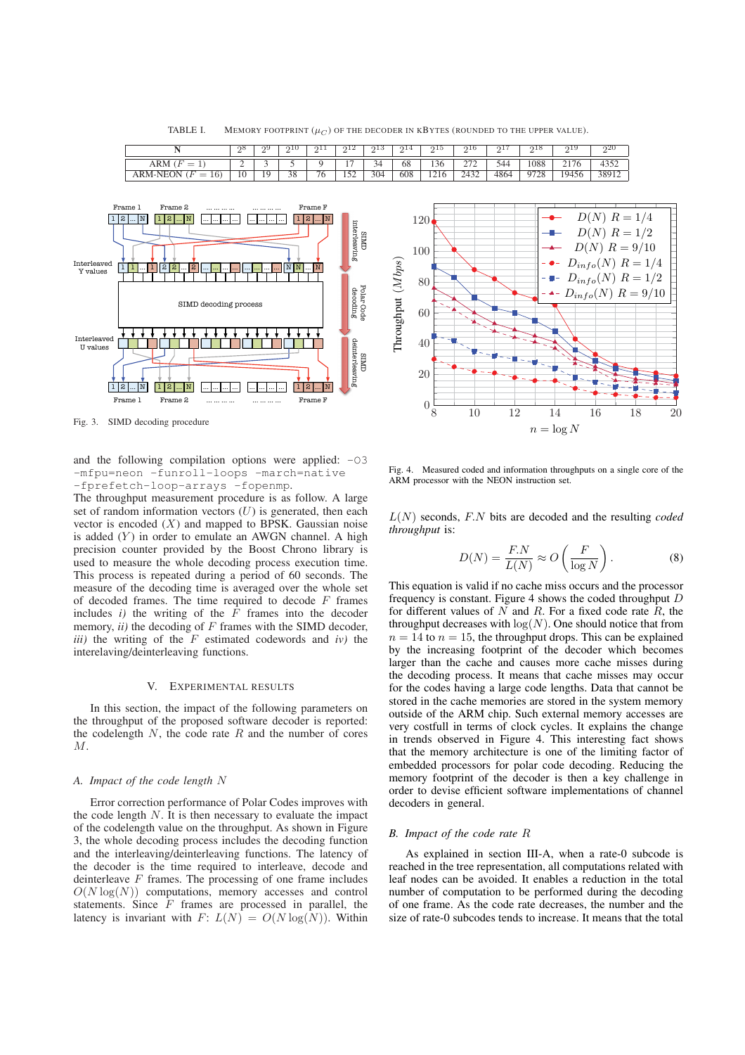|                                        | റ്റ്<br>∼<br>$\overline{\phantom{0}}$ | റാ<br>∼                  | 9 T G | $\Omega$ .<br>- | ചെ<br>∼        | വാ<br>∼<br>- | 014<br>∸<br>- | ചാ<br>-                 | ດ⊥t<br>-<br>-          | $^{\circ}$ | 1C<br>- | OTA.<br>-              | - 25<br>∸<br>— |
|----------------------------------------|---------------------------------------|--------------------------|-------|-----------------|----------------|--------------|---------------|-------------------------|------------------------|------------|---------|------------------------|----------------|
| ARM<br>$\overline{\phantom{a}}$        | ∼                                     | $\overline{\phantom{a}}$ |       |                 |                | 34           | 68            | 136                     | $\sim$<br><u>_ . _</u> | 544        | 1088    | $\overline{ }$<br>2176 |                |
| 16<br>'M-NEON<br>$\overline{u}$<br>$=$ | 10                                    | 1 <sub>Q</sub><br>. .    | 38    | 76              | 157<br>$1 - 2$ | 304          | 608           | 1216<br>$1 \leq 1 \leq$ | 2432                   | 4864       | 9728    | 19456                  | 3801<br>υo     |

TABLE I. MEMORY FOOTPRINT  $(\mu_C)$  OF THE DECODER IN KBYTES (ROUNDED TO THE UPPER VALUE).



Fig. 3. SIMD decoding procedure

and the following compilation options were applied:  $-03$ -mfpu=neon -funroll-loops -march=native -fprefetch-loop-arrays -fopenmp.

The throughput measurement procedure is as follow. A large set of random information vectors  $(U)$  is generated, then each vector is encoded  $(X)$  and mapped to BPSK. Gaussian noise is added  $(Y)$  in order to emulate an AWGN channel. A high precision counter provided by the Boost Chrono library is used to measure the whole decoding process execution time. This process is repeated during a period of 60 seconds. The measure of the decoding time is averaged over the whole set of decoded frames. The time required to decode  $F$  frames includes  $i$ ) the writing of the  $F$  frames into the decoder memory,  $ii)$  the decoding of  $F$  frames with the SIMD decoder, *iii)* the writing of the F estimated codewords and *iv)* the interelaving/deinterleaving functions.

## V. EXPERIMENTAL RESULTS

In this section, the impact of the following parameters on the throughput of the proposed software decoder is reported: the codelength  $N$ , the code rate  $R$  and the number of cores M.

## *A. Impact of the code length* N

Error correction performance of Polar Codes improves with the code length  $N$ . It is then necessary to evaluate the impact of the codelength value on the throughput. As shown in Figure 3, the whole decoding process includes the decoding function and the interleaving/deinterleaving functions. The latency of the decoder is the time required to interleave, decode and deinterleave  $F$  frames. The processing of one frame includes  $O(N \log(N))$  computations, memory accesses and control statements. Since  $\tilde{F}$  frames are processed in parallel, the latency is invariant with  $F: L(N) = O(N \log(N))$ . Within



Fig. 4. Measured coded and information throughputs on a single core of the ARM processor with the NEON instruction set.

L(N) seconds, F.N bits are decoded and the resulting *coded throughput* is:

$$
D(N) = \frac{F.N}{L(N)} \approx O\left(\frac{F}{\log N}\right). \tag{8}
$$

This equation is valid if no cache miss occurs and the processor frequency is constant. Figure 4 shows the coded throughput  $D$ for different values of  $N$  and  $R$ . For a fixed code rate  $\overline{R}$ , the throughput decreases with  $log(N)$ . One should notice that from  $n = 14$  to  $n = 15$ , the throughput drops. This can be explained by the increasing footprint of the decoder which becomes larger than the cache and causes more cache misses during the decoding process. It means that cache misses may occur for the codes having a large code lengths. Data that cannot be stored in the cache memories are stored in the system memory outside of the ARM chip. Such external memory accesses are very costfull in terms of clock cycles. It explains the change in trends observed in Figure 4. This interesting fact shows that the memory architecture is one of the limiting factor of embedded processors for polar code decoding. Reducing the memory footprint of the decoder is then a key challenge in order to devise efficient software implementations of channel decoders in general.

#### *B. Impact of the code rate* R

As explained in section III-A, when a rate-0 subcode is reached in the tree representation, all computations related with leaf nodes can be avoided. It enables a reduction in the total number of computation to be performed during the decoding of one frame. As the code rate decreases, the number and the size of rate-0 subcodes tends to increase. It means that the total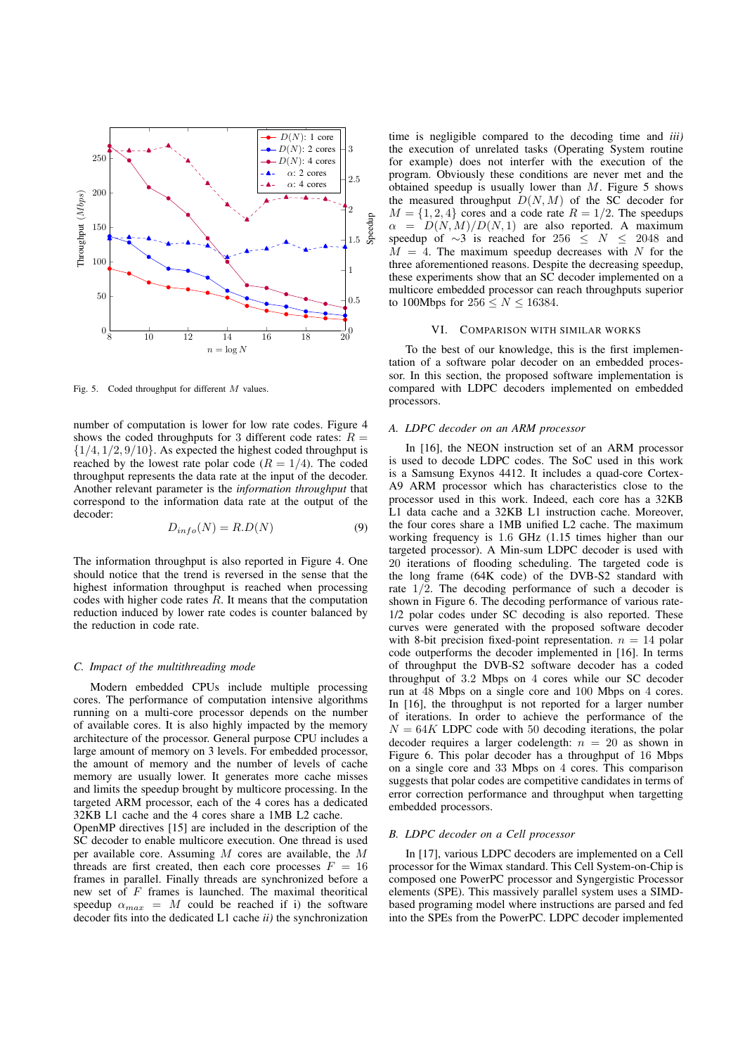

Fig. 5. Coded throughput for different M values.

number of computation is lower for low rate codes. Figure 4 shows the coded throughputs for 3 different code rates:  $R =$  $\{1/4, 1/2, 9/10\}$ . As expected the highest coded throughput is reached by the lowest rate polar code ( $R = 1/4$ ). The coded throughput represents the data rate at the input of the decoder. Another relevant parameter is the *information throughput* that correspond to the information data rate at the output of the decoder:

$$
D_{info}(N) = R.D(N)
$$
\n(9)

The information throughput is also reported in Figure 4. One should notice that the trend is reversed in the sense that the highest information throughput is reached when processing codes with higher code rates  $R$ . It means that the computation reduction induced by lower rate codes is counter balanced by the reduction in code rate.

#### *C. Impact of the multithreading mode*

Modern embedded CPUs include multiple processing cores. The performance of computation intensive algorithms running on a multi-core processor depends on the number of available cores. It is also highly impacted by the memory architecture of the processor. General purpose CPU includes a large amount of memory on 3 levels. For embedded processor, the amount of memory and the number of levels of cache memory are usually lower. It generates more cache misses and limits the speedup brought by multicore processing. In the targeted ARM processor, each of the 4 cores has a dedicated 32KB L1 cache and the 4 cores share a 1MB L2 cache.

OpenMP directives [15] are included in the description of the SC decoder to enable multicore execution. One thread is used per available core. Assuming M cores are available, the M threads are first created, then each core processes  $F = 16$ frames in parallel. Finally threads are synchronized before a new set of F frames is launched. The maximal theoritical<br>speedup  $\alpha_{\text{max}} = M$  could be reached if i) the software speedup  $\alpha_{max} = M$  could be reached if i) the software decoder fits into the dedicated L1 cache *ii*) the synchronization decoder fits into the dedicated L1 cache *ii)* the synchronization time is negligible compared to the decoding time and *iii)* the execution of unrelated tasks (Operating System routine for example) does not interfer with the execution of the program. Obviously these conditions are never met and the obtained speedup is usually lower than  $M$ . Figure 5 shows the measured throughput  $D(N, M)$  of the SC decoder for  $M = \{1, 2, 4\}$  cores and a code rate  $R = 1/2$ . The speedups  $\alpha = D(N, M)/D(N, 1)$  are also reported. A maximum speedup of ∼3 is reached for 256  $\leq N \leq 2048$  and  $M = 4$ . The maximum speedup decreases with N for the three aforementioned reasons. Despite the decreasing speedup, these experiments show that an SC decoder implemented on a multicore embedded processor can reach throughputs superior to 100Mbps for  $256 \leq N \leq 16384$ .

#### VI. COMPARISON WITH SIMILAR WORKS

To the best of our knowledge, this is the first implementation of a software polar decoder on an embedded processor. In this section, the proposed software implementation is compared with LDPC decoders implemented on embedded processors.

## *A. LDPC decoder on an ARM processor*

In [16], the NEON instruction set of an ARM processor is used to decode LDPC codes. The SoC used in this work is a Samsung Exynos 4412. It includes a quad-core Cortex-A9 ARM processor which has characteristics close to the processor used in this work. Indeed, each core has a 32KB L1 data cache and a 32KB L1 instruction cache. Moreover, the four cores share a 1MB unified L2 cache. The maximum working frequency is 1.6 GHz (1.15 times higher than our targeted processor). A Min-sum LDPC decoder is used with 20 iterations of flooding scheduling. The targeted code is the long frame (64K code) of the DVB-S2 standard with rate  $1/\overline{2}$ . The decoding performance of such a decoder is shown in Figure 6. The decoding performance of various rate-1/2 polar codes under SC decoding is also reported. These curves were generated with the proposed software decoder with 8-bit precision fixed-point representation.  $n = 14$  polar code outperforms the decoder implemented in [16]. In terms of throughput the DVB-S2 software decoder has a coded throughput of 3.2 Mbps on 4 cores while our SC decoder run at 48 Mbps on a single core and 100 Mbps on 4 cores. In [16], the throughput is not reported for a larger number of iterations. In order to achieve the performance of the  $N = 64K$  LDPC code with 50 decoding iterations, the polar decoder requires a larger codelength:  $n = 20$  as shown in Figure 6. This polar decoder has a throughput of 16 Mbps on a single core and 33 Mbps on 4 cores. This comparison suggests that polar codes are competitive candidates in terms of error correction performance and throughput when targetting embedded processors.

## *B. LDPC decoder on a Cell processor*

In [17], various LDPC decoders are implemented on a Cell processor for the Wimax standard. This Cell System-on-Chip is composed one PowerPC processor and Syngergistic Processor elements (SPE). This massively parallel system uses a SIMDbased programing model where instructions are parsed and fed into the SPEs from the PowerPC. LDPC decoder implemented